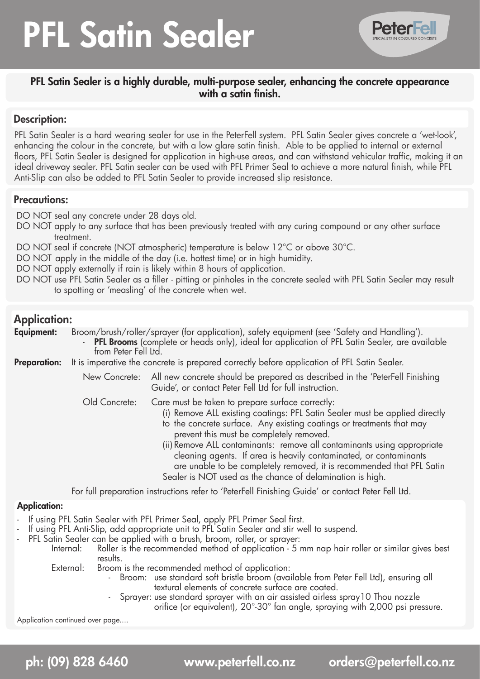# PFL Satin Sealer



# PFL Satin Sealer is a highly durable, multi-purpose sealer, enhancing the concrete appearance with a satin finish.

## Description:

PFL Satin Sealer is a hard wearing sealer for use in the PeterFell system. PFL Satin Sealer gives concrete a 'wet-look', enhancing the colour in the concrete, but with a low glare satin finish. Able to be applied to internal or external floors, PFL Satin Sealer is designed for application in high-use areas, and can withstand vehicular traffic, making it an ideal driveway sealer. PFL Satin sealer can be used with PFL Primer Seal to achieve a more natural finish, while PFL Anti-Slip can also be added to PFL Satin Sealer to provide increased slip resistance.

## Precautions:

DO NOT seal any concrete under 28 days old.

- DO NOT apply to any surface that has been previously treated with any curing compound or any other surface treatment.
- DO NOT seal if concrete (NOT atmospheric) temperature is below 12°C or above 30°C.

DO NOT apply in the middle of the day (i.e. hottest time) or in high humidity.

DO NOT apply externally if rain is likely within 8 hours of application.

DO NOT use PFL Satin Sealer as a filler - pitting or pinholes in the concrete sealed with PFL Satin Sealer may result to spotting or 'measling' of the concrete when wet.

# Application:

**Equipment:** Broom/brush/roller/sprayer (for application), safety equipment (see 'Safety and Handling').

PFL Brooms (complete or heads only), ideal for application of PFL Satin Sealer, are available from Peter Fell Ltd.

**Preparation:** It is imperative the concrete is prepared correctly before application of PFL Satin Sealer.

New Concrete: All new concrete should be prepared as described in the 'PeterFell Finishing Guide', or contact Peter Fell Ltd for full instruction.

Old Concrete: Care must be taken to prepare surface correctly:

- (i) Remove ALL existing coatings: PFL Satin Sealer must be applied directly
- to the concrete surface. Any existing coatings or treatments that may prevent this must be completely removed.
- (ii) Remove ALL contaminants: remove all contaminants using appropriate cleaning agents. If area is heavily contaminated, or contaminants are unable to be completely removed, it is recommended that PFL Satin Sealer is NOT used as the chance of delamination is high.

 For full preparation instructions refer to 'PeterFell Finishing Guide' or contact Peter Fell Ltd.

### Application:

- If using PFL Satin Sealer with PFL Primer Seal, apply PFL Primer Seal first.
- If using PFL Anti-Slip, add appropriate unit to PFL Satin Sealer and stir well to suspend.
- PFL Satin Sealer can be applied with a brush, broom, roller, or sprayer:
	- Internal: Roller is the recommended method of application 5 mm nap hair roller or similar gives best results.<br>External: Broom

Broom is the recommended method of application:

- Broom: use standard soft bristle broom (available from Peter Fell Ltd), ensuring all textural elements of concrete surface are coated.
	- Sprayer: use standard sprayer with an air assisted airless spray10 Thou nozzle

orifice (or equivalent), 20°-30° fan angle, spraying with 2,000 psi pressure.

Application continued over page....

ph: (09) 828 6460 www.peterfell.co.nz orders@peterfell.co.nz